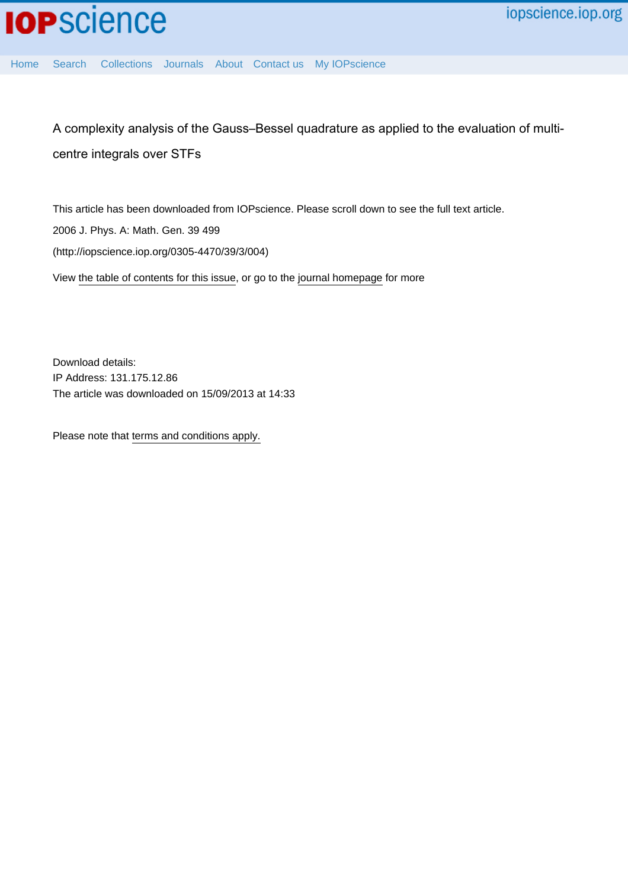

[Home](http://iopscience.iop.org/) [Search](http://iopscience.iop.org/search) [Collections](http://iopscience.iop.org/collections) [Journals](http://iopscience.iop.org/journals) [About](http://iopscience.iop.org/page/aboutioppublishing) [Contact us](http://iopscience.iop.org/contact) [My IOPscience](http://iopscience.iop.org/myiopscience)

A complexity analysis of the Gauss–Bessel quadrature as applied to the evaluation of multicentre integrals over STFs

This article has been downloaded from IOPscience. Please scroll down to see the full text article. 2006 J. Phys. A: Math. Gen. 39 499 (http://iopscience.iop.org/0305-4470/39/3/004) View [the table of contents for this issue](http://iopscience.iop.org/0305-4470/39/3), or go to the [journal homepage](http://iopscience.iop.org/0305-4470) for more

Download details: IP Address: 131.175.12.86 The article was downloaded on 15/09/2013 at 14:33

Please note that [terms and conditions apply.](http://iopscience.iop.org/page/terms)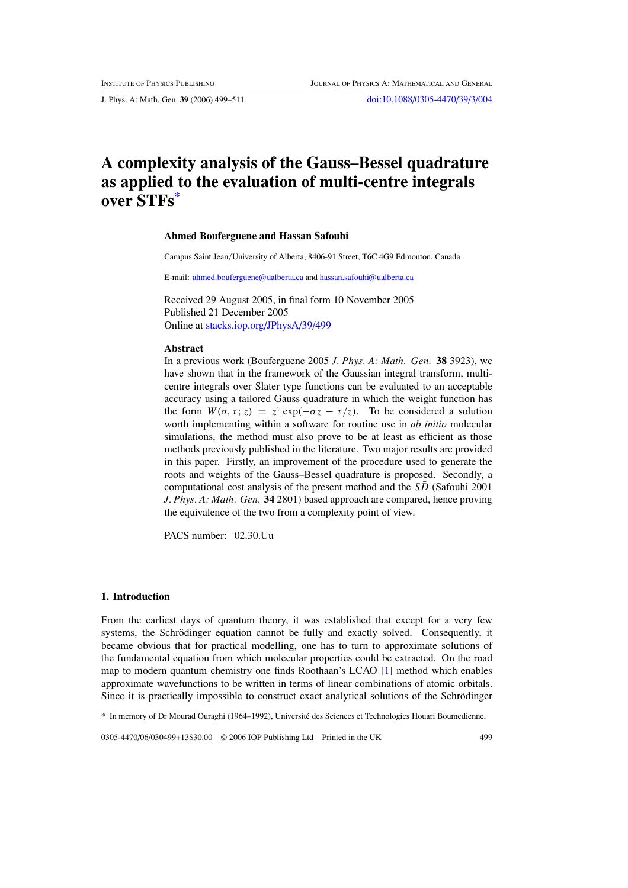J. Phys. A: Math. Gen. **39** (2006) 499–511 [doi:10.1088/0305-4470/39/3/004](http://dx.doi.org/10.1088/0305-4470/39/3/004)

# **A complexity analysis of the Gauss–Bessel quadrature as applied to the evaluation of multi-centre integrals over STFs\***

#### **Ahmed Bouferguene and Hassan Safouhi**

Campus Saint Jean*/*University of Alberta, 8406-91 Street, T6C 4G9 Edmonton, Canada

E-mail: [ahmed.bouferguene@ualberta.ca](mailto:ahmed.bouferguene@ualberta.ca) and [hassan.safouhi@ualberta.ca](mailto:hassan.safouhi@ualberta.ca)

Received 29 August 2005, in final form 10 November 2005 Published 21 December 2005 Online at [stacks.iop.org/JPhysA/39/499](http://stacks.iop.org/JPhysA/39/499)

#### **Abstract**

In a previous work (Bouferguene 2005 *J. Phys. A: Math. Gen.* **38** 3923), we have shown that in the framework of the Gaussian integral transform, multicentre integrals over Slater type functions can be evaluated to an acceptable accuracy using a tailored Gauss quadrature in which the weight function has the form  $W(\sigma, \tau; z) = z^{\nu} \exp(-\sigma z - \tau/z)$ . To be considered a solution worth implementing within a software for routine use in *ab initio* molecular simulations, the method must also prove to be at least as efficient as those methods previously published in the literature. Two major results are provided in this paper. Firstly, an improvement of the procedure used to generate the roots and weights of the Gauss–Bessel quadrature is proposed. Secondly, a computational cost analysis of the present method and the  $S\bar{D}$  (Safouhi 2001) *J. Phys. A: Math. Gen.* **34** 2801) based approach are compared, hence proving the equivalence of the two from a complexity point of view.

PACS number: 02.30.Uu

## **1. Introduction**

From the earliest days of quantum theory, it was established that except for a very few systems, the Schrödinger equation cannot be fully and exactly solved. Consequently, it became obvious that for practical modelling, one has to turn to approximate solutions of the fundamental equation from which molecular properties could be extracted. On the road map to modern quantum chemistry one finds Roothaan's LCAO [\[1](#page-11-0)] method which enables approximate wavefunctions to be written in terms of linear combinations of atomic orbitals. Since it is practically impossible to construct exact analytical solutions of the Schrödinger

\* In memory of Dr Mourad Ouraghi (1964–1992), Universite des Sciences et Technologies Houari Boumedienne. ´

0305-4470/06/030499+13\$30.00 © 2006 IOP Publishing Ltd Printed in the UK 499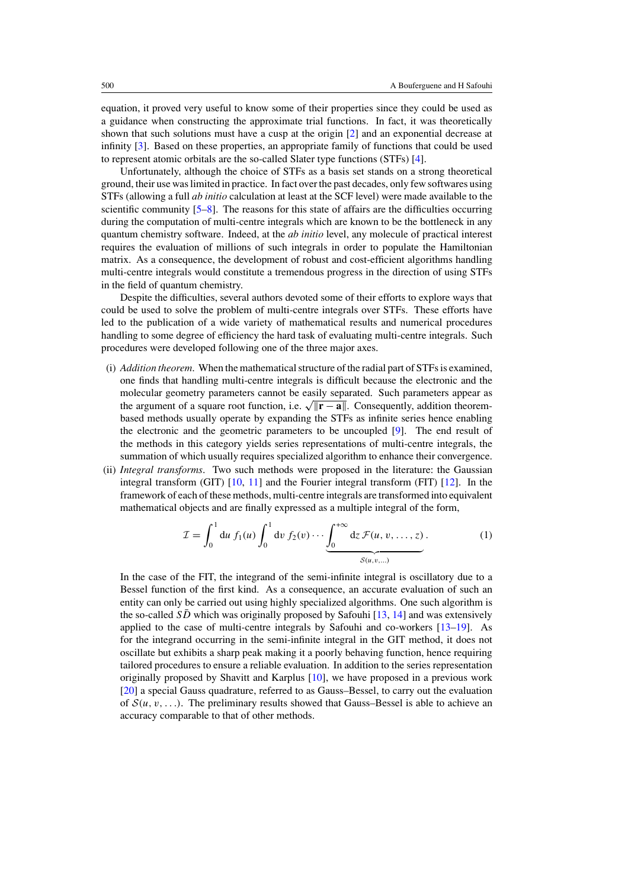equation, it proved very useful to know some of their properties since they could be used as a guidance when constructing the approximate trial functions. In fact, it was theoretically shown that such solutions must have a cusp at the origin [\[2](#page-11-0)] and an exponential decrease at infinity [\[3\]](#page-11-0). Based on these properties, an appropriate family of functions that could be used to represent atomic orbitals are the so-called Slater type functions (STFs) [\[4](#page-11-0)].

Unfortunately, although the choice of STFs as a basis set stands on a strong theoretical ground, their use was limited in practice. In fact over the past decades, only few softwares using STFs (allowing a full *ab initio* calculation at least at the SCF level) were made available to the scientific community [\[5](#page-11-0)[–8](#page-12-0)]. The reasons for this state of affairs are the difficulties occurring during the computation of multi-centre integrals which are known to be the bottleneck in any quantum chemistry software. Indeed, at the *ab initio* level, any molecule of practical interest requires the evaluation of millions of such integrals in order to populate the Hamiltonian matrix. As a consequence, the development of robust and cost-efficient algorithms handling multi-centre integrals would constitute a tremendous progress in the direction of using STFs in the field of quantum chemistry.

Despite the difficulties, several authors devoted some of their efforts to explore ways that could be used to solve the problem of multi-centre integrals over STFs. These efforts have led to the publication of a wide variety of mathematical results and numerical procedures handling to some degree of efficiency the hard task of evaluating multi-centre integrals. Such procedures were developed following one of the three major axes.

- (i) *Addition theorem*. When the mathematical structure of the radial part of STFs is examined, one finds that handling multi-centre integrals is difficult because the electronic and the molecular geometry parameters cannot be easily separated. Such parameters appear as noiecular geometry parameters cannot be easily separated. Such parameters appear as<br>the argument of a square root function, i.e.  $\sqrt{\|\mathbf{r} - \mathbf{a}\|}$ . Consequently, addition theorembased methods usually operate by expanding the STFs as infinite series hence enabling the electronic and the geometric parameters to be uncoupled [\[9\]](#page-12-0). The end result of the methods in this category yields series representations of multi-centre integrals, the summation of which usually requires specialized algorithm to enhance their convergence.
- (ii) *Integral transforms*. Two such methods were proposed in the literature: the Gaussian integral transform (GIT) [\[10](#page-12-0), [11](#page-12-0)] and the Fourier integral transform (FIT) [\[12](#page-12-0)]. In the framework of each of these methods, multi-centre integrals are transformed into equivalent mathematical objects and are finally expressed as a multiple integral of the form,

$$
\mathcal{I} = \int_0^1 du f_1(u) \int_0^1 dv f_2(v) \cdots \underbrace{\int_0^{+\infty} dz \mathcal{F}(u, v, \dots, z)}_{\mathcal{S}(u, v, \dots)}
$$
 (1)

In the case of the FIT, the integrand of the semi-infinite integral is oscillatory due to a Bessel function of the first kind. As a consequence, an accurate evaluation of such an entity can only be carried out using highly specialized algorithms. One such algorithm is the so-called  $S\bar{D}$  which was originally proposed by Safouhi [\[13,](#page-12-0) [14\]](#page-12-0) and was extensively applied to the case of multi-centre integrals by Safouhi and co-workers [\[13–19\]](#page-12-0). As for the integrand occurring in the semi-infinite integral in the GIT method, it does not oscillate but exhibits a sharp peak making it a poorly behaving function, hence requiring tailored procedures to ensure a reliable evaluation. In addition to the series representation originally proposed by Shavitt and Karplus [\[10](#page-12-0)], we have proposed in a previous work [\[20](#page-12-0)] a special Gauss quadrature, referred to as Gauss–Bessel, to carry out the evaluation of  $S(u, v, \ldots)$ . The preliminary results showed that Gauss–Bessel is able to achieve an accuracy comparable to that of other methods.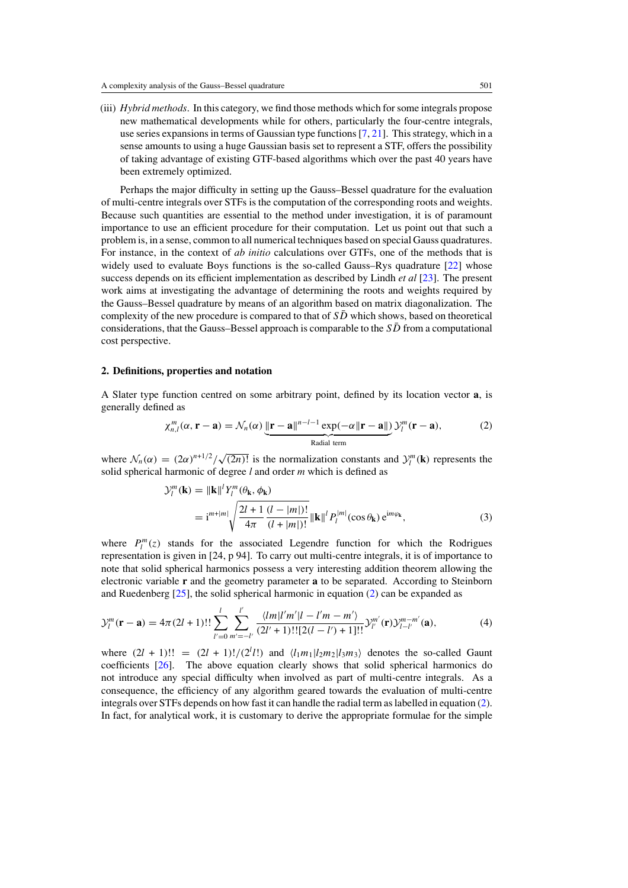(iii) *Hybrid methods*. In this category, we find those methods which for some integrals propose new mathematical developments while for others, particularly the four-centre integrals, use series expansions in terms of Gaussian type functions [\[7,](#page-12-0) [21](#page-12-0)]. This strategy, which in a sense amounts to using a huge Gaussian basis set to represent a STF, offers the possibility of taking advantage of existing GTF-based algorithms which over the past 40 years have been extremely optimized.

Perhaps the major difficulty in setting up the Gauss–Bessel quadrature for the evaluation of multi-centre integrals over STFs is the computation of the corresponding roots and weights. Because such quantities are essential to the method under investigation, it is of paramount importance to use an efficient procedure for their computation. Let us point out that such a problem is, in a sense, common to all numerical techniques based on special Gauss quadratures. For instance, in the context of *ab initio* calculations over GTFs, one of the methods that is widely used to evaluate Boys functions is the so-called Gauss–Rys quadrature [\[22](#page-12-0)] whose success depends on its efficient implementation as described by Lindh *et al* [\[23](#page-12-0)]. The present work aims at investigating the advantage of determining the roots and weights required by the Gauss–Bessel quadrature by means of an algorithm based on matrix diagonalization. The complexity of the new procedure is compared to that of  $S\bar{D}$  which shows, based on theoretical considerations, that the Gauss–Bessel approach is comparable to the  $S\bar{D}$  from a computational cost perspective.

# **2. Definitions, properties and notation**

A Slater type function centred on some arbitrary point, defined by its location vector **a**, is generally defined as

$$
\chi_{n,l}^m(\alpha, \mathbf{r} - \mathbf{a}) = \mathcal{N}_n(\alpha) \underbrace{\|\mathbf{r} - \mathbf{a}\|^{n-l-1} \exp(-\alpha \|\mathbf{r} - \mathbf{a}\|)}_{\text{Radial term}} \mathcal{Y}_l^m(\mathbf{r} - \mathbf{a}),\tag{2}
$$

where  $\mathcal{N}_n(\alpha) = (2\alpha)^{n+1/2} / \sqrt{(2n)!}$  is the normalization constants and  $\mathcal{Y}_l^m(\mathbf{k})$  represents the solid spherical harmonic of degree *l* and order *m* which is defined as

$$
\mathcal{Y}_l^m(\mathbf{k}) = \|\mathbf{k}\|^l Y_l^m(\theta_\mathbf{k}, \phi_\mathbf{k})
$$
  
= 
$$
\mathbf{i}^{m+|m|} \sqrt{\frac{2l+1}{4\pi} \frac{(l-|m|)!}{(l+|m|)!}} \|\mathbf{k}\|^l P_l^{|m|}(\cos \theta_\mathbf{k}) e^{im\varphi_\mathbf{k}},
$$
 (3)

where  $P_l^m(z)$  stands for the associated Legendre function for which the Rodrigues representation is given in [24, p 94]. To carry out multi-centre integrals, it is of importance to note that solid spherical harmonics possess a very interesting addition theorem allowing the electronic variable **r** and the geometry parameter **a** to be separated. According to Steinborn and Ruedenberg [\[25\]](#page-12-0), the solid spherical harmonic in equation (2) can be expanded as

$$
\mathcal{Y}_l^m(\mathbf{r}-\mathbf{a}) = 4\pi (2l+1)!! \sum_{l'=0}^l \sum_{m'= -l'}^{l'} \frac{\langle lm|l'm'|l-l'm-m'\rangle}{(2l'+1)!![2(l-l')+1]!!} \mathcal{Y}_{l'}^{m'}(\mathbf{r}) \mathcal{Y}_{l-l'}^{m-m'}(\mathbf{a}),\tag{4}
$$

where  $(2l + 1)!! = (2l + 1)!/(2^l l!)$  and  $\langle l_1 m_1 | l_2 m_2 | l_3 m_3 \rangle$  denotes the so-called Gaunt coefficients [\[26\]](#page-12-0). The above equation clearly shows that solid spherical harmonics do not introduce any special difficulty when involved as part of multi-centre integrals. As a consequence, the efficiency of any algorithm geared towards the evaluation of multi-centre integrals over STFs depends on how fast it can handle the radial term as labelled in equation (2). In fact, for analytical work, it is customary to derive the appropriate formulae for the simple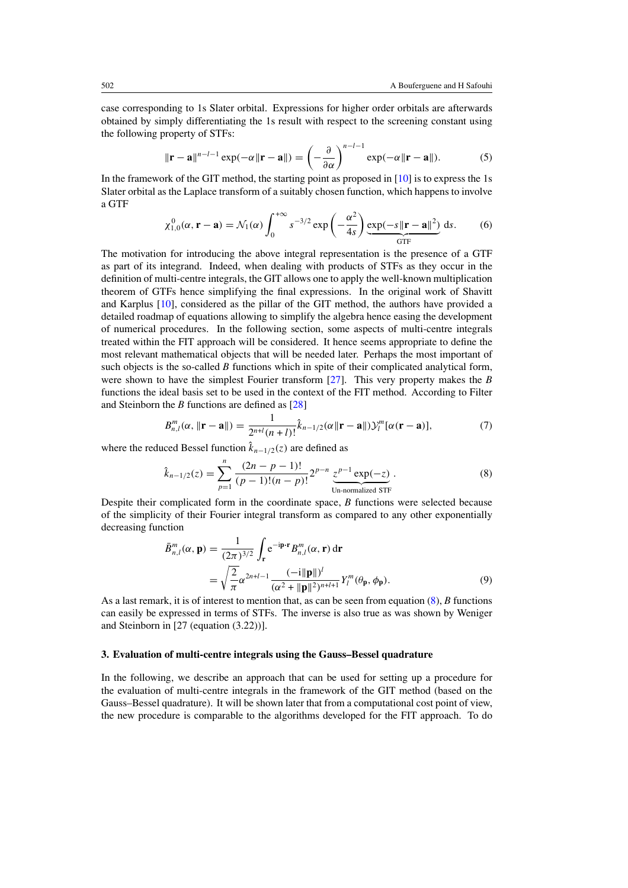case corresponding to 1s Slater orbital. Expressions for higher order orbitals are afterwards obtained by simply differentiating the 1s result with respect to the screening constant using the following property of STFs:

$$
\|\mathbf{r} - \mathbf{a}\|^{n-l-1} \exp(-\alpha \|\mathbf{r} - \mathbf{a}\|) = \left(-\frac{\partial}{\partial \alpha}\right)^{n-l-1} \exp(-\alpha \|\mathbf{r} - \mathbf{a}\|).
$$
 (5)

In the framework of the GIT method, the starting point as proposed in [\[10\]](#page-12-0) is to express the 1s Slater orbital as the Laplace transform of a suitably chosen function, which happens to involve a GTF

$$
\chi_{1,0}^0(\alpha, \mathbf{r} - \mathbf{a}) = \mathcal{N}_1(\alpha) \int_0^{+\infty} s^{-3/2} \exp\left(-\frac{\alpha^2}{4s}\right) \underbrace{\exp(-s \|\mathbf{r} - \mathbf{a}\|^2)}_{GTF} ds. \tag{6}
$$

The motivation for introducing the above integral representation is the presence of a GTF as part of its integrand. Indeed, when dealing with products of STFs as they occur in the definition of multi-centre integrals, the GIT allows one to apply the well-known multiplication theorem of GTFs hence simplifying the final expressions. In the original work of Shavitt and Karplus [\[10](#page-12-0)], considered as the pillar of the GIT method, the authors have provided a detailed roadmap of equations allowing to simplify the algebra hence easing the development of numerical procedures. In the following section, some aspects of multi-centre integrals treated within the FIT approach will be considered. It hence seems appropriate to define the most relevant mathematical objects that will be needed later. Perhaps the most important of such objects is the so-called *B* functions which in spite of their complicated analytical form, were shown to have the simplest Fourier transform [\[27\]](#page-12-0). This very property makes the *B* functions the ideal basis set to be used in the context of the FIT method. According to Filter and Steinborn the *B* functions are defined as [\[28](#page-12-0)]

$$
B_{n,l}^m(\alpha, \|\mathbf{r}-\mathbf{a}\|) = \frac{1}{2^{n+l}(n+l)!} \hat{k}_{n-1/2}(\alpha \|\mathbf{r}-\mathbf{a}\|) \mathcal{Y}_l^m[\alpha(\mathbf{r}-\mathbf{a})],\tag{7}
$$

where the reduced Bessel function  $\hat{k}_{n-1/2}(z)$  are defined as

$$
\hat{k}_{n-1/2}(z) = \sum_{p=1}^{n} \frac{(2n-p-1)!}{(p-1)!(n-p)!} 2^{p-n} \underbrace{z^{p-1} \exp(-z)}_{\text{Un-normalized STF}}.
$$
\n(8)

Despite their complicated form in the coordinate space, *B* functions were selected because of the simplicity of their Fourier integral transform as compared to any other exponentially decreasing function

$$
\bar{B}_{n,l}^m(\alpha, \mathbf{p}) = \frac{1}{(2\pi)^{3/2}} \int_{\mathbf{r}} e^{-i\mathbf{p}\cdot\mathbf{r}} B_{n,l}^m(\alpha, \mathbf{r}) d\mathbf{r}
$$
\n
$$
= \sqrt{\frac{2}{\pi}} \alpha^{2n+l-1} \frac{(-i\|\mathbf{p}\|)^l}{(\alpha^2 + \|\mathbf{p}\|^2)^{n+l+1}} Y_l^m(\theta_{\mathbf{p}}, \phi_{\mathbf{p}}).
$$
\n(9)

As a last remark, it is of interest to mention that, as can be seen from equation (8), *B* functions can easily be expressed in terms of STFs. The inverse is also true as was shown by Weniger and Steinborn in [27 (equation (3.22))].

# **3. Evaluation of multi-centre integrals using the Gauss–Bessel quadrature**

In the following, we describe an approach that can be used for setting up a procedure for the evaluation of multi-centre integrals in the framework of the GIT method (based on the Gauss–Bessel quadrature). It will be shown later that from a computational cost point of view, the new procedure is comparable to the algorithms developed for the FIT approach. To do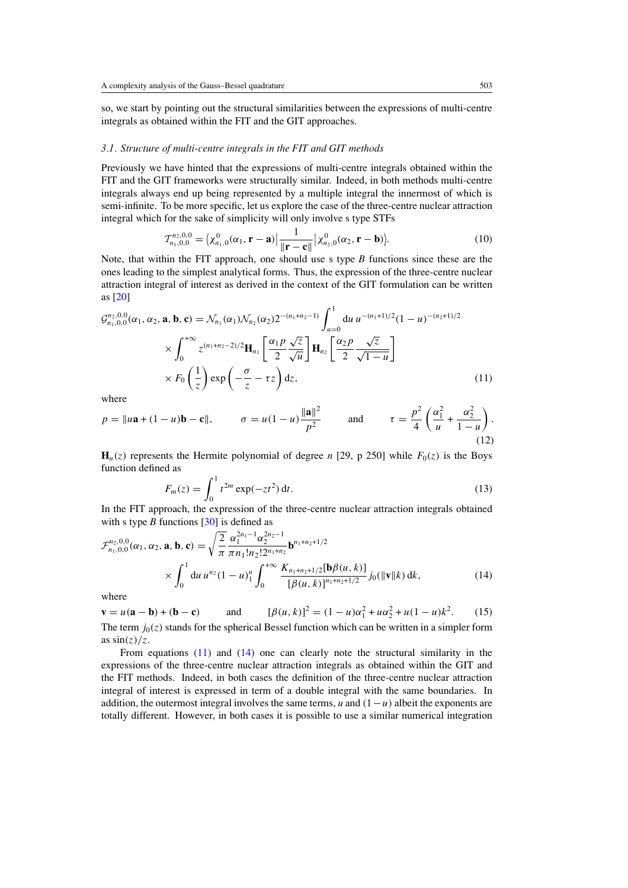<span id="page-5-0"></span>so, we start by pointing out the structural similarities between the expressions of multi-centre integrals as obtained within the FIT and the GIT approaches.

#### *3.1. Structure of multi-centre integrals in the FIT and GIT methods*

Previously we have hinted that the expressions of multi-centre integrals obtained within the FIT and the GIT frameworks were structurally similar. Indeed, in both methods multi-centre integrals always end up being represented by a multiple integral the innermost of which is semi-infinite. To be more specific, let us explore the case of the three-centre nuclear attraction integral which for the sake of simplicity will only involve s type STFs

$$
\mathcal{T}_{n_1,0,0}^{n_2,0,0} = \left\langle \chi_{n_1,0}^0(\alpha_1, \mathbf{r} - \mathbf{a}) \right| \frac{1}{\|\mathbf{r} - \mathbf{c}\|} \left| \chi_{n_2,0}^0(\alpha_2, \mathbf{r} - \mathbf{b}) \right\rangle.
$$
 (10)

Note, that within the FIT approach, one should use s type *B* functions since these are the ones leading to the simplest analytical forms. Thus, the expression of the three-centre nuclear attraction integral of interest as derived in the context of the GIT formulation can be written as [\[20](#page-12-0)]

$$
\mathcal{G}_{n_1,0,0}^{n_2,0,0}(\alpha_1, \alpha_2, \mathbf{a}, \mathbf{b}, \mathbf{c}) = \mathcal{N}_{n_1}(\alpha_1) \mathcal{N}_{n_2}(\alpha_2) 2^{-(n_1+n_2-1)} \int_{u=0}^1 du \, u^{-(n_1+1)/2} (1-u)^{-(n_2+1)/2} \times \int_0^{+\infty} z^{(n_1+n_2-2)/2} \mathbf{H}_{n_1} \left[ \frac{\alpha_1 p}{2} \frac{\sqrt{z}}{\sqrt{u}} \right] \mathbf{H}_{n_2} \left[ \frac{\alpha_2 p}{2} \frac{\sqrt{z}}{\sqrt{1-u}} \right] \times F_0 \left( \frac{1}{z} \right) \exp \left( -\frac{\sigma}{z} - \tau z \right) dz,
$$
\n(11)

where

$$
p = ||u\mathbf{a} + (1 - u)\mathbf{b} - \mathbf{c}||,
$$
  $\sigma = u(1 - u)\frac{||\mathbf{a}||^2}{p^2}$  and  $\tau = \frac{p^2}{4}\left(\frac{\alpha_1^2}{u} + \frac{\alpha_2^2}{1 - u}\right).$  (12)

 $\mathbf{H}_n(z)$  represents the Hermite polynomial of degree *n* [29, p 250] while  $F_0(z)$  is the Boys function defined as

$$
F_m(z) = \int_0^1 t^{2m} \exp(-zt^2) dt.
$$
 (13)

In the FIT approach, the expression of the three-centre nuclear attraction integrals obtained with s type *B* functions  $[30]$  is defined as

$$
\mathcal{F}_{n_1,0,0}^{n_2,0,0}(\alpha_1, \alpha_2, \mathbf{a}, \mathbf{b}, \mathbf{c}) = \sqrt{\frac{2}{\pi}} \frac{\alpha_1^{2n_1 - 1} \alpha_2^{2n_2 - 1}}{\pi n_1! n_2! 2^{n_1 + n_2}} \mathbf{b}^{n_1 + n_2 + 1/2} \times \int_0^1 du \, u^{n_2} (1 - u)_1^n \int_0^{+\infty} \frac{K_{n_1 + n_2 + 1/2}[\mathbf{b}\beta(u, k)]}{[\beta(u, k)]^{n_1 + n_2 + 1/2}} j_0(\|\mathbf{v}\|k) \, \mathrm{d}k,
$$
\n(14)

where

$$
\mathbf{v} = u(\mathbf{a} - \mathbf{b}) + (\mathbf{b} - \mathbf{c}) \quad \text{and} \quad [\beta(u, k)]^2 = (1 - u)\alpha_1^2 + u\alpha_2^2 + u(1 - u)k^2. \tag{15}
$$

The term  $j_0(z)$  stands for the spherical Bessel function which can be written in a simpler form as  $\sin(z)/z$ .

From equations (11) and (14) one can clearly note the structural similarity in the expressions of the three-centre nuclear attraction integrals as obtained within the GIT and the FIT methods. Indeed, in both cases the definition of the three-centre nuclear attraction integral of interest is expressed in term of a double integral with the same boundaries. In addition, the outermost integral involves the same terms, *u* and  $(1 - u)$  albeit the exponents are totally different. However, in both cases it is possible to use a similar numerical integration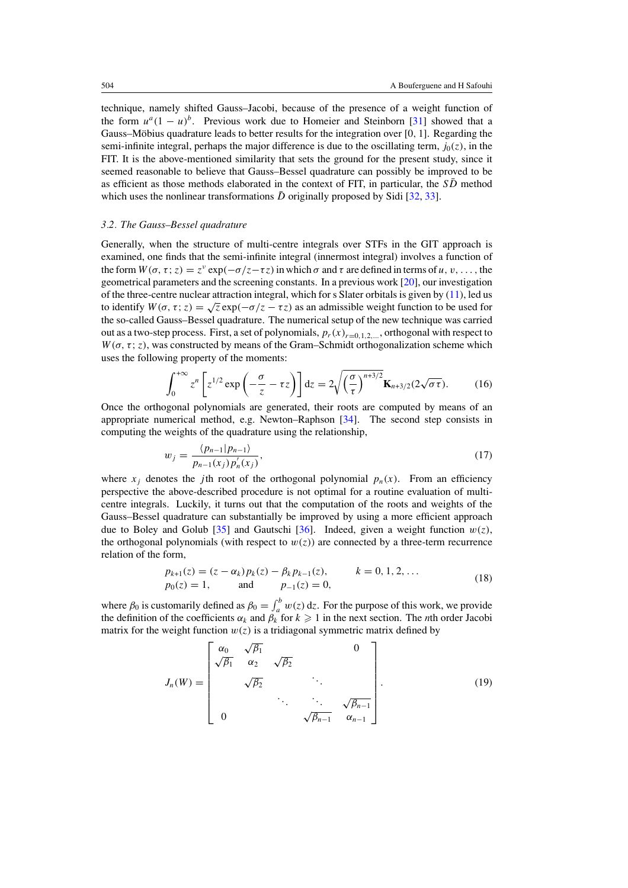<span id="page-6-0"></span>technique, namely shifted Gauss–Jacobi, because of the presence of a weight function of the form  $u^a(1 - u)^b$ . Previous work due to Homeier and Steinborn [\[31](#page-12-0)] showed that a Gauss–Möbius quadrature leads to better results for the integration over [0, 1]. Regarding the semi-infinite integral, perhaps the major difference is due to the oscillating term,  $j_0(z)$ , in the FIT. It is the above-mentioned similarity that sets the ground for the present study, since it seemed reasonable to believe that Gauss–Bessel quadrature can possibly be improved to be as efficient as those methods elaborated in the context of FIT, in particular, the  $S\bar{D}$  method which uses the nonlinear transformations  $\bar{D}$  originally proposed by Sidi [\[32,](#page-12-0) [33\]](#page-12-0).

# *3.2. The Gauss–Bessel quadrature*

Generally, when the structure of multi-centre integrals over STFs in the GIT approach is examined, one finds that the semi-infinite integral (innermost integral) involves a function of the form  $W(\sigma, \tau; z) = z^{\nu} \exp(-\sigma/z - \tau z)$  in which  $\sigma$  and  $\tau$  are defined in terms of *u*, *v*, ..., the geometrical parameters and the screening constants. In a previous work [\[20\]](#page-12-0), our investigation of the three-centre nuclear attraction integral, which for s Slater orbitals is given by [\(11\)](#page-5-0), led us to identify  $W(\sigma, \tau; z) = \sqrt{z} \exp(-\sigma/z - \tau z)$  as an admissible weight function to be used for the so-called Gauss–Bessel quadrature. The numerical setup of the new technique was carried out as a two-step process. First, a set of polynomials,  $p_r(x)_{r=0,1,2,\ldots}$ , orthogonal with respect to  $W(\sigma, \tau; z)$ , was constructed by means of the Gram–Schmidt orthogonalization scheme which uses the following property of the moments:

$$
\int_0^{+\infty} z^n \left[ z^{1/2} \exp\left(-\frac{\sigma}{z} - \tau z\right) \right] dz = 2 \sqrt{\left(\frac{\sigma}{\tau}\right)^{n+3/2}} \mathbf{K}_{n+3/2} (2\sqrt{\sigma \tau}). \tag{16}
$$

Once the orthogonal polynomials are generated, their roots are computed by means of an appropriate numerical method, e.g. Newton–Raphson [\[34](#page-12-0)]. The second step consists in computing the weights of the quadrature using the relationship,

$$
w_j = \frac{\langle p_{n-1} | p_{n-1} \rangle}{p_{n-1}(x_j) p'_n(x_j)},\tag{17}
$$

where  $x_j$  denotes the *j*th root of the orthogonal polynomial  $p_n(x)$ . From an efficiency perspective the above-described procedure is not optimal for a routine evaluation of multicentre integrals. Luckily, it turns out that the computation of the roots and weights of the Gauss–Bessel quadrature can substantially be improved by using a more efficient approach due to Boley and Golub [\[35\]](#page-13-0) and Gautschi [\[36](#page-13-0)]. Indeed, given a weight function  $w(z)$ , the orthogonal polynomials (with respect to  $w(z)$ ) are connected by a three-term recurrence relation of the form,

$$
p_{k+1}(z) = (z - \alpha_k) p_k(z) - \beta_k p_{k-1}(z), \qquad k = 0, 1, 2, ...
$$
  
\n
$$
p_0(z) = 1, \qquad \text{and} \qquad p_{-1}(z) = 0,
$$
 (18)

where  $\beta_0$  is customarily defined as  $\beta_0 = \int_a^b w(z) dz$ . For the purpose of this work, we provide the definition of the coefficients  $\alpha_k$  and  $\beta_k$  for  $k \ge 1$  in the next section. The *n*th order Jacobi matrix for the weight function  $w(z)$  is a tridiagonal symmetric matrix defined by

$$
J_n(W) = \begin{bmatrix} \alpha_0 & \sqrt{\beta_1} & & & 0 \\ \sqrt{\beta_1} & \alpha_2 & \sqrt{\beta_2} & & \\ & \sqrt{\beta_2} & & \ddots & \\ & & \ddots & \ddots & \sqrt{\beta_{n-1}} \\ 0 & & & \sqrt{\beta_{n-1}} & \alpha_{n-1} \end{bmatrix} .
$$
 (19)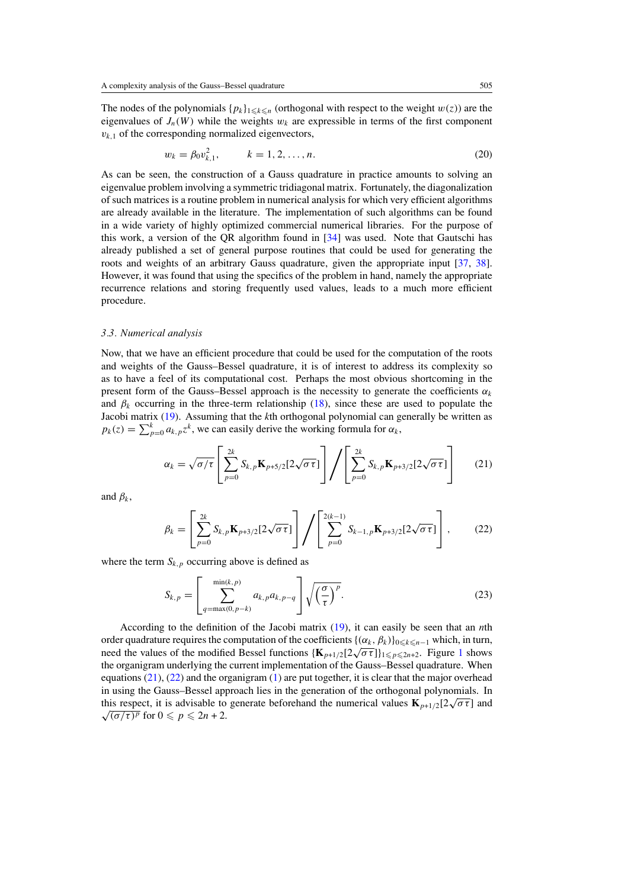<span id="page-7-0"></span>The nodes of the polynomials  $\{p_k\}_{1 \leq k \leq n}$  (orthogonal with respect to the weight  $w(z)$ ) are the eigenvalues of  $J_n(W)$  while the weights  $w_k$  are expressible in terms of the first component  $v_{k-1}$  of the corresponding normalized eigenvectors,

$$
w_k = \beta_0 v_{k,1}^2, \qquad k = 1, 2, \dots, n. \tag{20}
$$

As can be seen, the construction of a Gauss quadrature in practice amounts to solving an eigenvalue problem involving a symmetric tridiagonal matrix. Fortunately, the diagonalization of such matrices is a routine problem in numerical analysis for which very efficient algorithms are already available in the literature. The implementation of such algorithms can be found in a wide variety of highly optimized commercial numerical libraries. For the purpose of this work, a version of the QR algorithm found in [\[34\]](#page-12-0) was used. Note that Gautschi has already published a set of general purpose routines that could be used for generating the roots and weights of an arbitrary Gauss quadrature, given the appropriate input [\[37,](#page-13-0) [38\]](#page-13-0). However, it was found that using the specifics of the problem in hand, namely the appropriate recurrence relations and storing frequently used values, leads to a much more efficient procedure.

#### *3.3. Numerical analysis*

Now, that we have an efficient procedure that could be used for the computation of the roots and weights of the Gauss–Bessel quadrature, it is of interest to address its complexity so as to have a feel of its computational cost. Perhaps the most obvious shortcoming in the present form of the Gauss–Bessel approach is the necessity to generate the coefficients  $\alpha_k$ and  $\beta_k$  occurring in the three-term relationship [\(18\)](#page-6-0), since these are used to populate the Jacobi matrix [\(19\)](#page-6-0). Assuming that the *k*th orthogonal polynomial can generally be written as  $p_k(z) = \sum_{p=0}^{k} a_{k,p} z^k$ , we can easily derive the working formula for  $\alpha_k$ ,

$$
\alpha_k = \sqrt{\sigma/\tau} \left[ \sum_{p=0}^{2k} S_{k,p} \mathbf{K}_{p+5/2} [2\sqrt{\sigma \tau}] \right] / \left[ \sum_{p=0}^{2k} S_{k,p} \mathbf{K}_{p+3/2} [2\sqrt{\sigma \tau}] \right]
$$
(21)

and  $\beta_k$ ,

$$
\beta_k = \left[ \sum_{p=0}^{2k} S_{k,p} \mathbf{K}_{p+3/2} [2\sqrt{\sigma \tau}] \right] / \left[ \sum_{p=0}^{2(k-1)} S_{k-1,p} \mathbf{K}_{p+3/2} [2\sqrt{\sigma \tau}] \right],
$$
 (22)

where the term  $S_{k,p}$  occurring above is defined as

$$
S_{k,p} = \left[\sum_{q=\max(0,p-k)}^{\min(k,p)} a_{k,p} a_{k,p-q}\right] \sqrt{\left(\frac{\sigma}{\tau}\right)^p}.
$$
 (23)

According to the definition of the Jacobi matrix [\(19\)](#page-6-0), it can easily be seen that an *n*th order quadrature requires the computation of the coefficients  $\{(\alpha_k, \beta_k)\}_{0 \leq k \leq n-1}$  which, in turn, need the values of the modified Bessel functions  $\{K_{p+1/2}[2\sqrt{\sigma \tau}]\}_{1 \leq p \leq 2n+2}$  $\{K_{p+1/2}[2\sqrt{\sigma \tau}]\}_{1 \leq p \leq 2n+2}$  $\{K_{p+1/2}[2\sqrt{\sigma \tau}]\}_{1 \leq p \leq 2n+2}$ . Figure 1 shows the organigram underlying the current implementation of the Gauss–Bessel quadrature. When equations (21), (22) and the organigram [\(1\)](#page-8-0) are put together, it is clear that the major overhead in using the Gauss–Bessel approach lies in the generation of the orthogonal polynomials. In this respect, it is advisable to generate beforehand the numerical values  $\mathbf{K}_{p+1/2}[2\sqrt{\sigma \tau}]$  and  $\sqrt{(\sigma/\tau)^p}$  for  $0 \leq p \leq 2n + 2$ .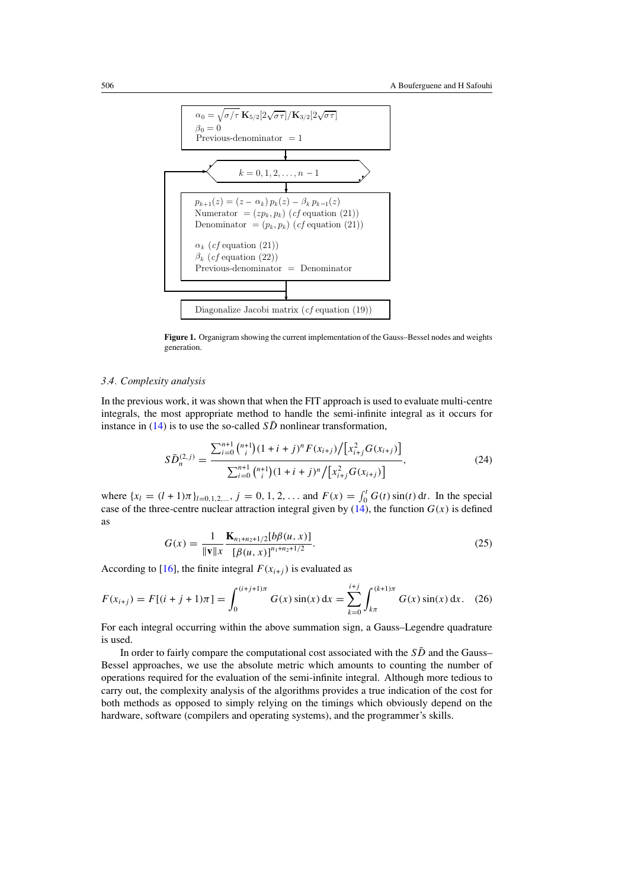<span id="page-8-0"></span>

**Figure 1.** Organigram showing the current implementation of the Gauss–Bessel nodes and weights generation.

### *3.4. Complexity analysis*

In the previous work, it was shown that when the FIT approach is used to evaluate multi-centre integrals, the most appropriate method to handle the semi-infinite integral as it occurs for instance in [\(14\)](#page-5-0) is to use the so-called  $S\bar{D}$  nonlinear transformation,

$$
S\bar{D}_n^{(2,j)} = \frac{\sum_{i=0}^{n+1} \binom{n+1}{i} (1+i+j)^n F(x_{i+j}) / \left[x_{i+j}^2 G(x_{i+j})\right]}{\sum_{i=0}^{n+1} \binom{n+1}{i} (1+i+j)^n / \left[x_{i+j}^2 G(x_{i+j})\right]},
$$
\n(24)

where  $\{x_l = (l+1)\pi\}_{l=0,1,2,...}$ ,  $j = 0, 1, 2, ...$  and  $F(x) = \int_0^t G(t) \sin(t) dt$ . In the special case of the three-centre nuclear attraction integral given by  $(14)$ , the function  $G(x)$  is defined as

$$
G(x) = \frac{1}{\|\mathbf{v}\|x} \frac{\mathbf{K}_{n_1+n_2+1/2}[\mathbf{b}\beta(u,x)]}{[\beta(u,x)]^{n_1+n_2+1/2}}.
$$
 (25)

According to [\[16](#page-12-0)], the finite integral  $F(x_{i+j})$  is evaluated as

$$
F(x_{i+j}) = F[(i+j+1)\pi] = \int_0^{(i+j+1)\pi} G(x)\sin(x) dx = \sum_{k=0}^{i+j} \int_{k\pi}^{(k+1)\pi} G(x)\sin(x) dx. \tag{26}
$$

For each integral occurring within the above summation sign, a Gauss–Legendre quadrature is used.

In order to fairly compare the computational cost associated with the  $S\bar{D}$  and the Gauss– Bessel approaches, we use the absolute metric which amounts to counting the number of operations required for the evaluation of the semi-infinite integral. Although more tedious to carry out, the complexity analysis of the algorithms provides a true indication of the cost for both methods as opposed to simply relying on the timings which obviously depend on the hardware, software (compilers and operating systems), and the programmer's skills.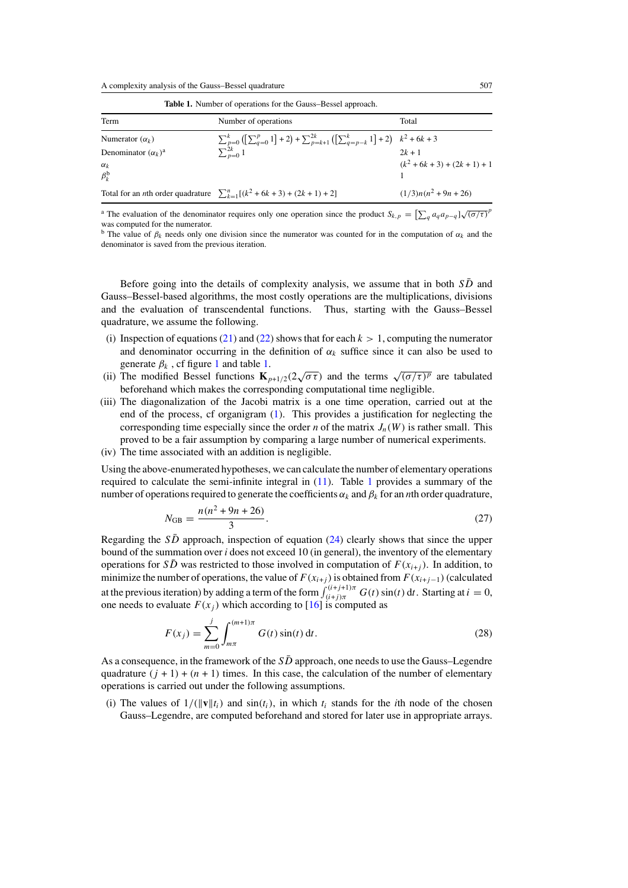<span id="page-9-0"></span>

| <b>Table 1.</b> Number of operations for the Gauss–Bessel approach. |                                                                                                         |                       |  |  |
|---------------------------------------------------------------------|---------------------------------------------------------------------------------------------------------|-----------------------|--|--|
| Term                                                                | Number of operations                                                                                    | Total                 |  |  |
| Numerator $(\alpha_k)$                                              | $\sum_{p=0}^{k} ([\sum_{q=0}^{p} 1] + 2) + \sum_{p=k+1}^{2k} ([\sum_{q=p-k}^{k} 1] + 2) k^{2} + 6k + 3$ |                       |  |  |
| Denominator $(\alpha_k)^a$                                          | $\sum_{p=0}^{2k} 1$                                                                                     | $2k + 1$              |  |  |
| $\alpha_k$                                                          |                                                                                                         | $(k^2+6k+3)+(2k+1)+1$ |  |  |
| $\beta_k^{\rm b}$                                                   |                                                                                                         |                       |  |  |
|                                                                     | Total for an <i>n</i> th order quadrature $\sum_{k=1}^{n} [(k^2 + 6k + 3) + (2k + 1) + 2]$              | $(1/3)n(n^2+9n+26)$   |  |  |

<sup>a</sup> The evaluation of the denominator requires only one operation since the product  $S_{k,p} = \left[\sum_q a_q a_{p-q}\right] \sqrt{\left(\frac{\sigma}{t}\right)^p}$ was computed for the numerator.

<sup>b</sup> The value of *βk* needs only one division since the numerator was counted for in the computation of *αk* and the denominator is saved from the previous iteration.

Before going into the details of complexity analysis, we assume that in both  $S\bar{D}$  and Gauss–Bessel-based algorithms, the most costly operations are the multiplications, divisions and the evaluation of transcendental functions. Thus, starting with the Gauss–Bessel quadrature, we assume the following.

- (i) Inspection of equations [\(21\)](#page-7-0) and [\(22\)](#page-7-0) shows that for each  $k > 1$ , computing the numerator and denominator occurring in the definition of  $\alpha_k$  suffice since it can also be used to generate  $\beta_k$ , cf figure [1](#page-8-0) and table 1.
- (ii) The modified Bessel functions  $\mathbf{K}_{p+1/2}(2\sqrt{\sigma\tau})$  and the terms  $\sqrt{(\sigma/\tau)^p}$  are tabulated beforehand which makes the corresponding computational time negligible.
- (iii) The diagonalization of the Jacobi matrix is a one time operation, carried out at the end of the process, cf organigram (1). This provides a justification for neglecting the corresponding time especially since the order *n* of the matrix  $J_n(W)$  is rather small. This proved to be a fair assumption by comparing a large number of numerical experiments.
- (iv) The time associated with an addition is negligible.

Using the above-enumerated hypotheses, we can calculate the number of elementary operations required to calculate the semi-infinite integral in  $(11)$ . Table 1 provides a summary of the number of operations required to generate the coefficients  $\alpha_k$  and  $\beta_k$  for an *n*th order quadrature,

$$
N_{\rm GB} = \frac{n(n^2 + 9n + 26)}{3}.\tag{27}
$$

Regarding the  $S\bar{D}$  approach, inspection of equation [\(24\)](#page-8-0) clearly shows that since the upper bound of the summation over *i* does not exceed 10 (in general), the inventory of the elementary operations for  $S\bar{D}$  was restricted to those involved in computation of  $F(x_{i+j})$ . In addition, to minimize the number of operations, the value of  $F(x_{i+j})$  is obtained from  $F(x_{i+j-1})$  (calculated at the previous iteration) by adding a term of the form  $\int_{(i+j)\pi}^{(i+j+1)\pi} G(t) \sin(t) dt$ . Starting at  $i = 0$ , one needs to evaluate  $F(x_i)$  which according to [\[16](#page-12-0)] is computed as

$$
F(x_j) = \sum_{m=0}^{j} \int_{m\pi}^{(m+1)\pi} G(t) \sin(t) \, \mathrm{d}t. \tag{28}
$$

As a consequence, in the framework of the  $S\bar{D}$  approach, one needs to use the Gauss–Legendre quadrature  $(j + 1) + (n + 1)$  times. In this case, the calculation of the number of elementary operations is carried out under the following assumptions.

(i) The values of  $1/(\|\mathbf{v}\|_{t_i})$  and  $\sin(t_i)$ , in which  $t_i$  stands for the *i*th node of the chosen Gauss–Legendre, are computed beforehand and stored for later use in appropriate arrays.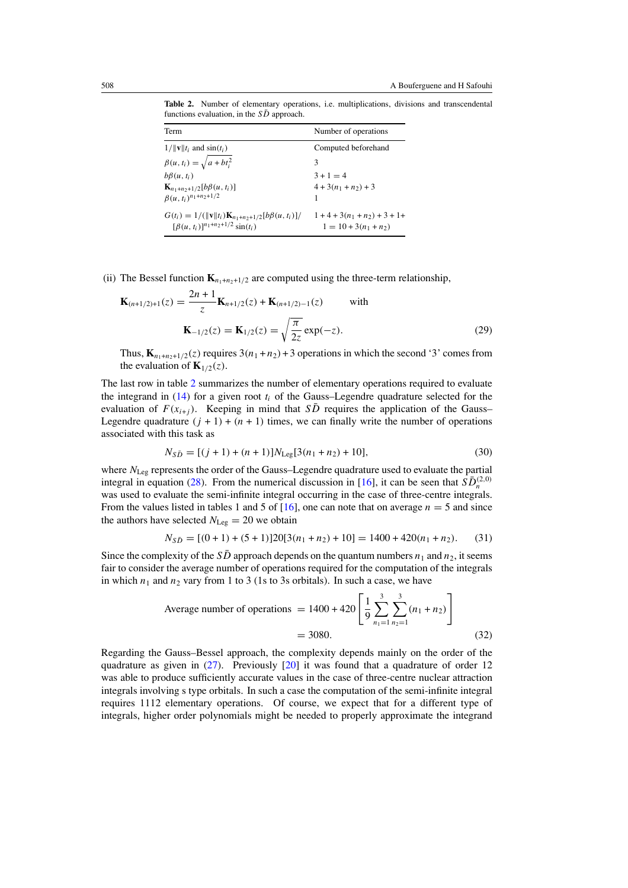| Term                                                                      | Number of operations<br>Computed beforehand |  |
|---------------------------------------------------------------------------|---------------------------------------------|--|
| $1/\ \mathbf{v}\ $ t <sub>i</sub> and sin(t <sub>i</sub> )                |                                             |  |
| $\beta(u, t_i) = \sqrt{a + bt_i^2}$                                       |                                             |  |
| $b\beta(u, t_i)$                                                          | $3 + 1 = 4$                                 |  |
| $\mathbf{K}_{n_1+n_2+1/2}[b\beta(u, t_i)]$                                | $4+3(n_1+n_2)+3$                            |  |
| $\beta(u, t_i)^{n_1+n_2+1/2}$                                             |                                             |  |
| $G(t_i) = 1/(\ \mathbf{v}\ t_i)\mathbf{K}_{n_1+n_2+1/2}[b\beta(u, t_i)]/$ | $1+4+3(n_1+n_2)+3+1+$                       |  |
| $[\beta(u, t_i)]^{n_1+n_2+1/2} \sin(t_i)$                                 | $1 = 10 + 3(n_1 + n_2)$                     |  |

**Table 2.** Number of elementary operations, i.e. multiplications, divisions and transcendental functions evaluation, in the  $S\bar{D}$  approach.

(ii) The Bessel function  $\mathbf{K}_{n_1+n_2+1/2}$  are computed using the three-term relationship,

$$
\mathbf{K}_{(n+1/2)+1}(z) = \frac{2n+1}{z} \mathbf{K}_{n+1/2}(z) + \mathbf{K}_{(n+1/2)-1}(z) \quad \text{with}
$$
\n
$$
\mathbf{K}_{-1/2}(z) = \mathbf{K}_{1/2}(z) = \sqrt{\frac{\pi}{2z}} \exp(-z).
$$
\n(29)

Thus,  $\mathbf{K}_{n_1+n_2+1/2}(z)$  requires  $3(n_1+n_2)+3$  operations in which the second '3' comes from the evaluation of  $\mathbf{K}_{1/2}(z)$ .

The last row in table 2 summarizes the number of elementary operations required to evaluate the integrand in  $(14)$  for a given root  $t_i$  of the Gauss–Legendre quadrature selected for the evaluation of  $F(x_{i+j})$ . Keeping in mind that  $S\bar{D}$  requires the application of the Gauss– Legendre quadrature  $(j + 1) + (n + 1)$  times, we can finally write the number of operations associated with this task as

$$
N_{S\bar{D}} = [(j+1) + (n+1)]N_{\text{Leg}}[3(n_1+n_2)+10],\tag{30}
$$

where  $N_{\text{Le}g}$  represents the order of the Gauss–Legendre quadrature used to evaluate the partial integral in equation [\(28\)](#page-9-0). From the numerical discussion in [\[16](#page-12-0)], it can be seen that  $S\bar{D}_{n}^{(2,0)}$ was used to evaluate the semi-infinite integral occurring in the case of three-centre integrals. From the values listed in tables 1 and 5 of  $[16]$ , one can note that on average  $n = 5$  and since the authors have selected  $N_{\text{Leg}} = 20$  we obtain

$$
N_{S\bar{D}} = [(0+1) + (5+1)]20[3(n_1+n_2) + 10] = 1400 + 420(n_1+n_2). \tag{31}
$$

Since the complexity of the  $S\bar{D}$  approach depends on the quantum numbers  $n_1$  and  $n_2$ , it seems fair to consider the average number of operations required for the computation of the integrals in which  $n_1$  and  $n_2$  vary from 1 to 3 (1s to 3s orbitals). In such a case, we have

Average number of operations = 
$$
1400 + 420 \left[ \frac{1}{9} \sum_{n_1=1}^{3} \sum_{n_2=1}^{3} (n_1 + n_2) \right]
$$
  
= 3080. (32)

Regarding the Gauss–Bessel approach, the complexity depends mainly on the order of the quadrature as given in  $(27)$ . Previously  $[20]$  $[20]$  it was found that a quadrature of order 12 was able to produce sufficiently accurate values in the case of three-centre nuclear attraction integrals involving s type orbitals. In such a case the computation of the semi-infinite integral requires 1112 elementary operations. Of course, we expect that for a different type of integrals, higher order polynomials might be needed to properly approximate the integrand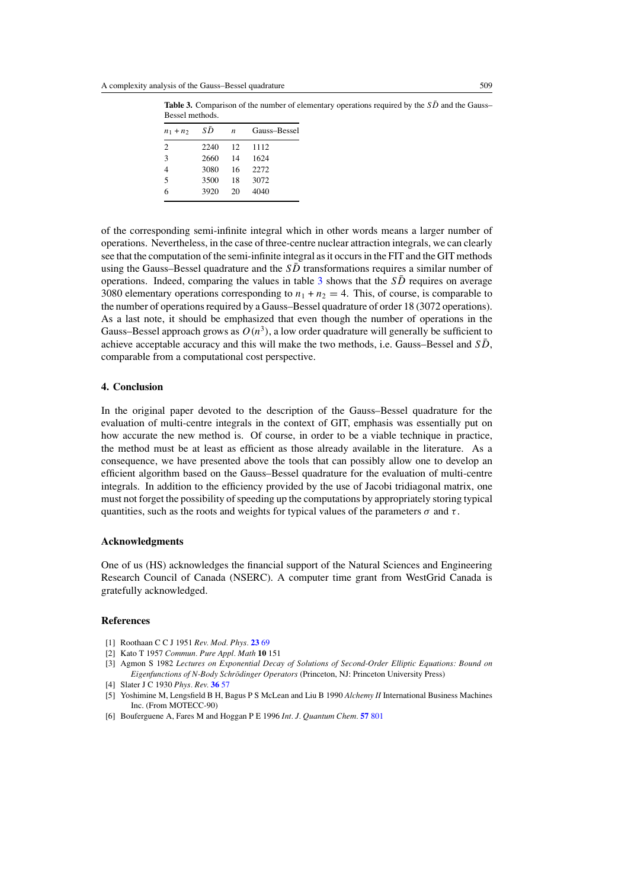<span id="page-11-0"></span>**Table 3.** Comparison of the number of elementary operations required by the  $S\bar{D}$  and the Gauss– Bessel methods.

| $n_1 + n_2$    | SD   | $\boldsymbol{n}$ | Gauss-Bessel |
|----------------|------|------------------|--------------|
| $\overline{c}$ | 2240 | 12               | 1112         |
| 3              | 2660 | 14               | 1624         |
| $\overline{4}$ | 3080 | 16               | 2272         |
| 5              | 3500 | 18               | 3072         |
| 6              | 3920 | 20               | 4040         |
|                |      |                  |              |

of the corresponding semi-infinite integral which in other words means a larger number of operations. Nevertheless, in the case of three-centre nuclear attraction integrals, we can clearly see that the computation of the semi-infinite integral as it occurs in the FIT and the GIT methods using the Gauss–Bessel quadrature and the *SD* transformations requires a similar number of operations. Indeed, comparing the values in table  $3$  shows that the  $S\bar{D}$  requires on average 3080 elementary operations corresponding to  $n_1 + n_2 = 4$ . This, of course, is comparable to the number of operations required by a Gauss–Bessel quadrature of order 18 (3072 operations). As a last note, it should be emphasized that even though the number of operations in the Gauss–Bessel approach grows as  $O(n^3)$ , a low order quadrature will generally be sufficient to achieve acceptable accuracy and this will make the two methods, i.e. Gauss–Bessel and  $S\bar{D}$ , comparable from a computational cost perspective.

# **4. Conclusion**

In the original paper devoted to the description of the Gauss–Bessel quadrature for the evaluation of multi-centre integrals in the context of GIT, emphasis was essentially put on how accurate the new method is. Of course, in order to be a viable technique in practice, the method must be at least as efficient as those already available in the literature. As a consequence, we have presented above the tools that can possibly allow one to develop an efficient algorithm based on the Gauss–Bessel quadrature for the evaluation of multi-centre integrals. In addition to the efficiency provided by the use of Jacobi tridiagonal matrix, one must not forget the possibility of speeding up the computations by appropriately storing typical quantities, such as the roots and weights for typical values of the parameters  $\sigma$  and  $\tau$ .

## **Acknowledgments**

One of us (HS) acknowledges the financial support of the Natural Sciences and Engineering Research Council of Canada (NSERC). A computer time grant from WestGrid Canada is gratefully acknowledged.

#### **References**

- [1] Roothaan C C J 1951 *Rev. Mod. Phys.* **[23](http://dx.doi.org/10.1103/RevModPhys.23.69)** 69
- [2] Kato T 1957 *Commun. Pure Appl. Math* **10** 151
- [3] Agmon S 1982 *Lectures on Exponential Decay of Solutions of Second-Order Elliptic Equations: Bound on Eigenfunctions of N-Body Schrodinger Operators ¨* (Princeton, NJ: Princeton University Press)
- [4] Slater J C 1930 *Phys. Rev.* **[36](http://dx.doi.org/10.1103/PhysRev.36.57)** 57
- [5] Yoshimine M, Lengsfield B H, Bagus P S McLean and Liu B 1990 *Alchemy II* International Business Machines Inc. (From MOTECC-90)
- [6] Bouferguene A, Fares M and Hoggan P E 1996 *Int. J. Quantum Chem.* **57** [801](http://dx.doi.org/10.1002/(SICI)1097-461X(1996)57:4$<$801::AID-QUA27$>$3.0.CO;2-0)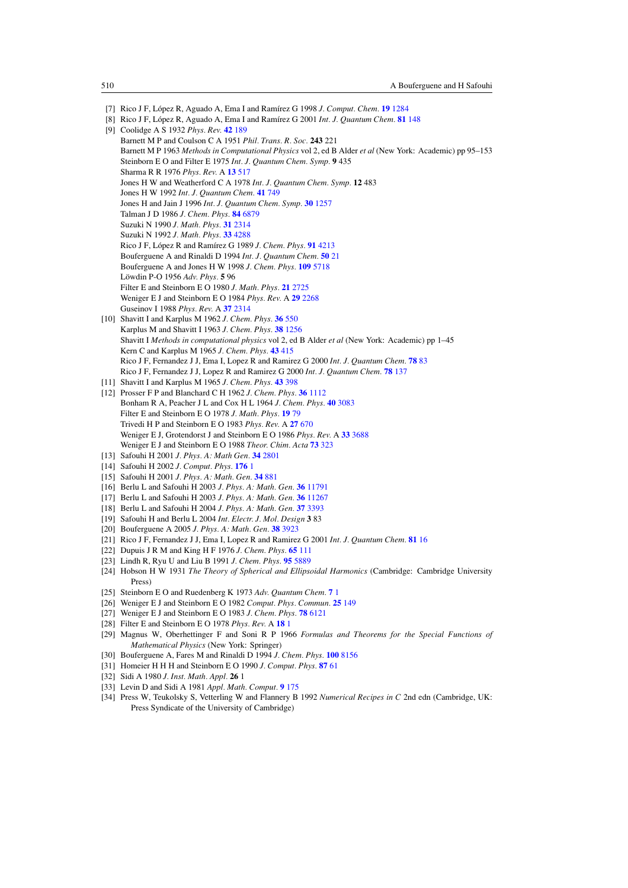- [7] Rico J F, López R, Aguado A, Ema I and Ramírez G 1998 *J. Comput. Chem.* **19** [1284](http://dx.doi.org/10.1002/(SICI)1096-987X(199808)19:11$<$1284::AID-JCC8$>$3.0.CO;2-G)
- [8] Rico J F, López R, Aguado A, Ema I and Ramírez G 2001 Int. J. Quantum Chem. 81 [148](http://dx.doi.org/10.1002/1097-461X(2001)81:2$<$148::AID-QUA6$>$3.0.CO;2-0)
- [9] Coolidge A S 1932 *Phys. Rev.* **42** [189](http://dx.doi.org/10.1103/PhysRev.42.189) Barnett M P and Coulson C A 1951 *Phil. Trans. R. Soc.* **243** 221 Barnett M P 1963 *Methods in Computational Physics* vol 2, ed B Alder *et al* (New York: Academic) pp 95–153 Steinborn E O and Filter E 1975 *Int. J. Quantum Chem. Symp.* **9** 435 Sharma R R 1976 *Phys. Rev.* A **13** [517](http://dx.doi.org/10.1103/PhysRevA.13.517) Jones H W and Weatherford C A 1978 *Int. J. Quantum Chem. Symp.* **12** 483 Jones H W 1992 *Int. J. Quantum Chem.* **41** [749](http://dx.doi.org/10.1002/qua.560410511) Jones H and Jain J 1996 *Int. J. Quantum Chem. Symp.* **30** [1257](http://dx.doi.org/10.1002/(SICI)1097-461X(1996)60:7$<$1257::AID-QUA6$>$3.0.CO;2-Y) Talman J D 1986 *J. Chem. Phys.* **84** [6879](http://dx.doi.org/10.1063/1.450692) Suzuki N 1990 *J. Math. Phys.* **31** [2314](http://dx.doi.org/10.1063/1.528639) Suzuki N 1992 *J. Math. Phys.* **33** [4288](http://dx.doi.org/10.1063/1.529831) Rico J F, López R and Ramírez G 1989 *J. Chem. Phys.* 91 [4213](http://dx.doi.org/10.1063/1.456800) Bouferguene A and Rinaldi D 1994 *Int. J. Quantum Chem.* **[50](http://dx.doi.org/10.1002/qua.560500103)** 21 Bouferguene A and Jones H W 1998 *J. Chem. Phys.* **109** [5718](http://dx.doi.org/10.1063/1.477194) Löwdin P-O 1956 Adv. Phys. **5** 96 Filter E and Steinborn E O 1980 *J. Math. Phys.* **21** [2725](http://dx.doi.org/10.1063/1.524390) Weniger E J and Steinborn E O 1984 *Phys. Rev.* A **29** [2268](http://dx.doi.org/10.1103/PhysRevA.29.2268) Guseinov I 1988 *Phys. Rev.* A **37** [2314](http://dx.doi.org/10.1103/PhysRevA.37.2314)
- [10] Shavitt I and Karplus M 1962 *J. Chem. Phys.* **36** [550](http://dx.doi.org/10.1063/1.1732550) Karplus M and Shavitt I 1963 *J. Chem. Phys.* **38** [1256](http://dx.doi.org/10.1063/1.1733837) Shavitt I *Methods in computational physics* vol 2, ed B Alder *et al* (New York: Academic) pp 1–45 Kern C and Karplus M 1965 *J. Chem. Phys.* **43** [415](http://dx.doi.org/10.1063/1.1696758) Rico J F, Fernandez J J, Ema I, Lopez R and Ramirez G 2000 *Int. J. Quantum Chem.* **[78](http://dx.doi.org/10.1002/(SICI)1097-461X(2000)78:2$<$83::AID-QUA2$>$3.0.CO;2-J)** 83 Rico J F, Fernandez J J, Lopez R and Ramirez G 2000 *Int. J. Quantum Chem.* **78** [137](http://dx.doi.org/10.1002/(SICI)1097-461X(2000)78:3$<$137::AID-QUA1$>$3.0.CO;2-Y)
- [11] Shavitt I and Karplus M 1965 *J. Chem. Phys.* **43** [398](http://dx.doi.org/10.1063/1.1696757)
- [12] Prosser F P and Blanchard C H 1962 *J. Chem. Phys.* **36** [1112](http://dx.doi.org/10.1063/1.1732673) Bonham R A, Peacher J L and Cox H L 1964 *J. Chem. Phys.* **40** [3083](http://dx.doi.org/10.1063/1.1724953) Filter E and Steinborn E O 1978 *J. Math. Phys.* **[19](http://dx.doi.org/10.1063/1.523517)** 79 Trivedi H P and Steinborn E O 1983 *Phys. Rev.* A **27** [670](http://dx.doi.org/10.1103/PhysRevA.27.670) Weniger E J, Grotendorst J and Steinborn E O 1986 *Phys. Rev.* A **33** [3688](http://dx.doi.org/10.1103/PhysRevA.33.3688) Weniger E J and Steinborn E O 1988 *Theor. Chim. Acta* **73** [323](http://dx.doi.org/10.1007/BF00527739)
- [13] Safouhi H 2001 *J. Phys. A: Math Gen.* **34** [2801](http://dx.doi.org/10.1088/0305-4470/34/13/311)
- [14] Safouhi H 2002 *J. Comput. Phys.* **[176](http://dx.doi.org/10.1006/jcph.2001.6925)** 1
- [15] Safouhi H 2001 *J. Phys. A: Math. Gen.* **34** [881](http://dx.doi.org/10.1088/0305-4470/34/4/314)
- [16] Berlu L and Safouhi H 2003 *J. Phys. A: Math. Gen.* **36** [11791](http://dx.doi.org/10.1088/0305-4470/36/47/007)
- [17] Berlu L and Safouhi H 2003 *J. Phys. A: Math. Gen.* **36** [11267](http://dx.doi.org/10.1088/0305-4470/36/44/007)
- [18] Berlu L and Safouhi H 2004 *J. Phys. A: Math. Gen.* **37** [3393](http://dx.doi.org/10.1088/0305-4470/37/10/006)
- [19] Safouhi H and Berlu L 2004 *Int. Electr. J. Mol. Design* **3** 83
- [20] Bouferguene A 2005 *J. Phys. A: Math. Gen.* **38** [3923](http://dx.doi.org/10.1088/0305-4470/38/18/004)
- [21] Rico J F, Fernandez J J, Ema I, Lopez R and Ramirez G 2001 *Int. J. Quantum Chem.* **[81](http://dx.doi.org/10.1002/1097-461X(2001)81:1$<$16::AID-QUA5$>$3.0.CO;2-A)** 16
- [22] Dupuis J R M and King H F 1976 *J. Chem. Phys.* **65** [111](http://dx.doi.org/10.1063/1.432807)
- [23] Lindh R, Ryu U and Liu B 1991 *J. Chem. Phys.* **95** [5889](http://dx.doi.org/10.1063/1.461610)
- [24] Hobson H W 1931 *The Theory of Spherical and Ellipsoidal Harmonics* (Cambridge: Cambridge University Press)
- [25] Steinborn E O and Ruedenberg K 1973 *Adv. Quantum Chem.* **[7](http://dx.doi.org/10.1002/qua.560070103)** 1
- [26] Weniger E J and Steinborn E O 1982 *Comput. Phys. Commun.* **25** [149](http://dx.doi.org/10.1016/0010-4655(82)90031-5)
- [27] Weniger E J and Steinborn E O 1983 *J. Chem. Phys.* **78** [6121](http://dx.doi.org/10.1063/1.444574)
- [28] Filter E and Steinborn E O 1978 *Phys. Rev.* A **[18](http://dx.doi.org/10.1103/PhysRevA.18.1)** 1
- [29] Magnus W, Oberhettinger F and Soni R P 1966 *Formulas and Theorems for the Special Functions of Mathematical Physics* (New York: Springer)
- [30] Bouferguene A, Fares M and Rinaldi D 1994 *J. Chem. Phys.* **100** [8156](http://dx.doi.org/10.1063/1.466810)
- [31] Homeier H H H and Steinborn E O 1990 *J. Comput. Phys.* **[87](http://dx.doi.org/10.1016/0021-9991(90)90225-P)** 61
- [32] Sidi A 1980 *J. Inst. Math. Appl.* **26** 1
- [33] Levin D and Sidi A 1981 *Appl. Math. Comput.* **9** [175](http://dx.doi.org/10.1016/0096-3003(81)90028-X)
- [34] Press W, Teukolsky S, Vetterling W and Flannery B 1992 *Numerical Recipes in C* 2nd edn (Cambridge, UK: Press Syndicate of the University of Cambridge)

<span id="page-12-0"></span>